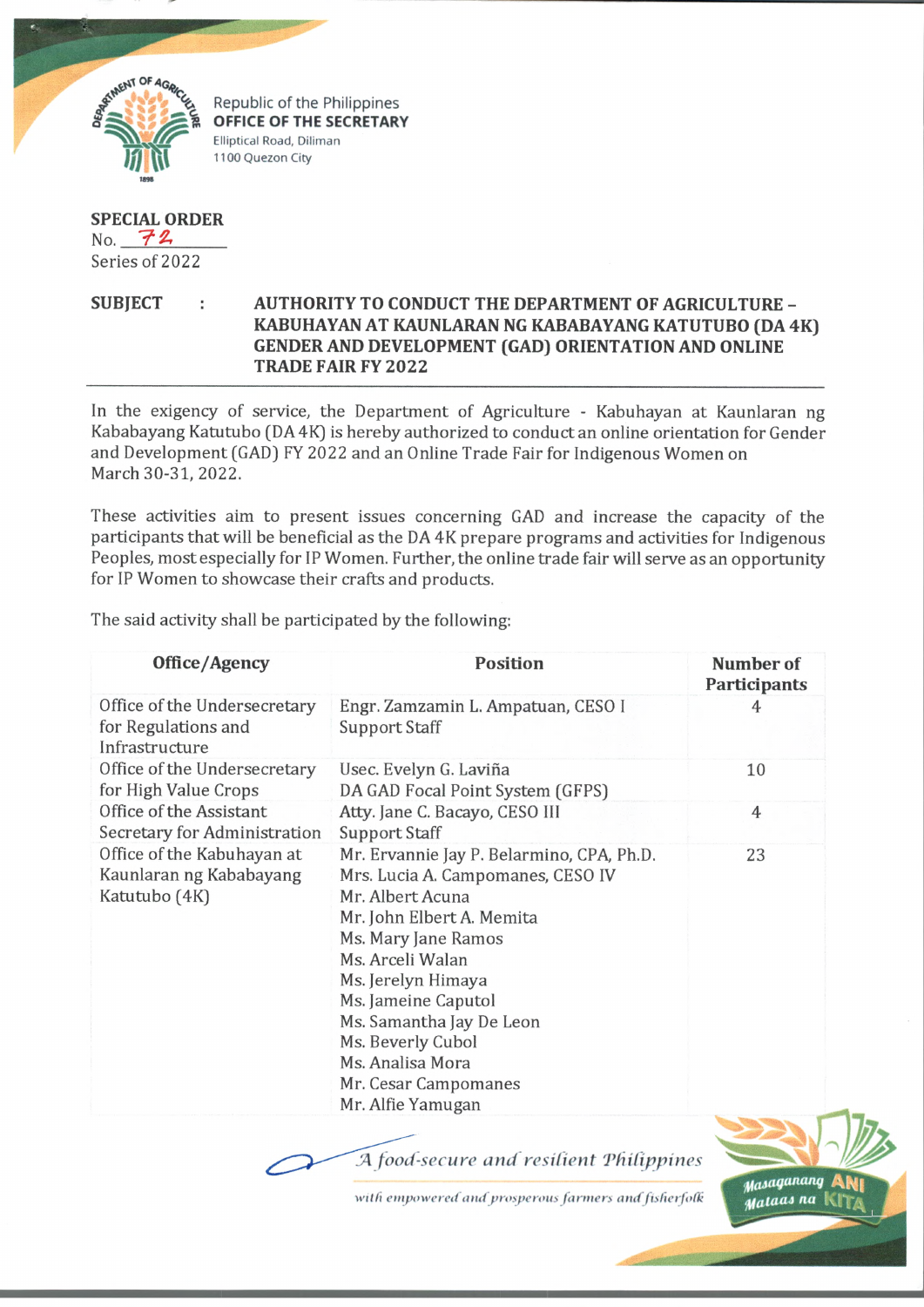

Republic of the Philippines **OFFICE OF THE SECRETARY** Elliptical Road, Diliman 1100 Quezon City

## **SPECIAL ORDER** No.  $72$

Series of 2022

## **SUBJECT AUTHORITY TO CONDUCT THE DEPARTMENT OF AGRICULTURE - KABUHAYAN AT KAUNLARAN NG KABABAYANG KATUTUBO (DA 4K) GENDER AND DEVELOPMENT (GAD) ORIENTATION AND ONLINE TRADE FAIR FY2022**

In the exigency of service, the Department of Agriculture - Kabuhayan at Kaunlaran ng Kababayang Katutubo (DA 4K) is hereby authorized to conduct an online orientation for Gender and Development (GAD) FY 2022 and an Online Trade Fair for Indigenous Women on March 30-31, 2022.

These activities aim to present issues concerning GAD and increase the capacity of the participants that will be beneficial as the DA 4K prepare programs and activities for Indigenous Peoples, most especially for IP Women. Further, the online trade fair will serve as an opportunity for IP Women to showcase their crafts and products.

The said activity shall be participated by the following:

| Office/Agency                                                          | <b>Position</b>                                                                                                                                                                                                                                                                                                                           | Number of<br>Participants |
|------------------------------------------------------------------------|-------------------------------------------------------------------------------------------------------------------------------------------------------------------------------------------------------------------------------------------------------------------------------------------------------------------------------------------|---------------------------|
| Office of the Undersecretary<br>for Regulations and<br>Infrastructure  | Engr. Zamzamin L. Ampatuan, CESO I<br><b>Support Staff</b>                                                                                                                                                                                                                                                                                | 4                         |
| Office of the Undersecretary<br>for High Value Crops                   | Usec. Evelyn G. Laviña<br>DA GAD Focal Point System (GFPS)                                                                                                                                                                                                                                                                                | 10                        |
| Office of the Assistant<br>Secretary for Administration                | Atty. Jane C. Bacayo, CESO III<br>Support Staff                                                                                                                                                                                                                                                                                           | $\overline{4}$            |
| Office of the Kabuhayan at<br>Kaunlaran ng Kababayang<br>Katutubo (4K) | Mr. Ervannie Jay P. Belarmino, CPA, Ph.D.<br>Mrs. Lucia A. Campomanes, CESO IV<br>Mr. Albert Acuna<br>Mr. John Elbert A. Memita<br>Ms. Mary Jane Ramos<br>Ms. Arceli Walan<br>Ms. Jerelyn Himaya<br>Ms. Jameine Caputol<br>Ms. Samantha Jay De Leon<br>Ms. Beverly Cubol<br>Ms. Analisa Mora<br>Mr. Cesar Campomanes<br>Mr. Alfie Yamugan | 23                        |
|                                                                        |                                                                                                                                                                                                                                                                                                                                           |                           |

J4 *food-secure and resilient 'Philippines*

*willi empowered and prosperous farmers and fisherfolk*